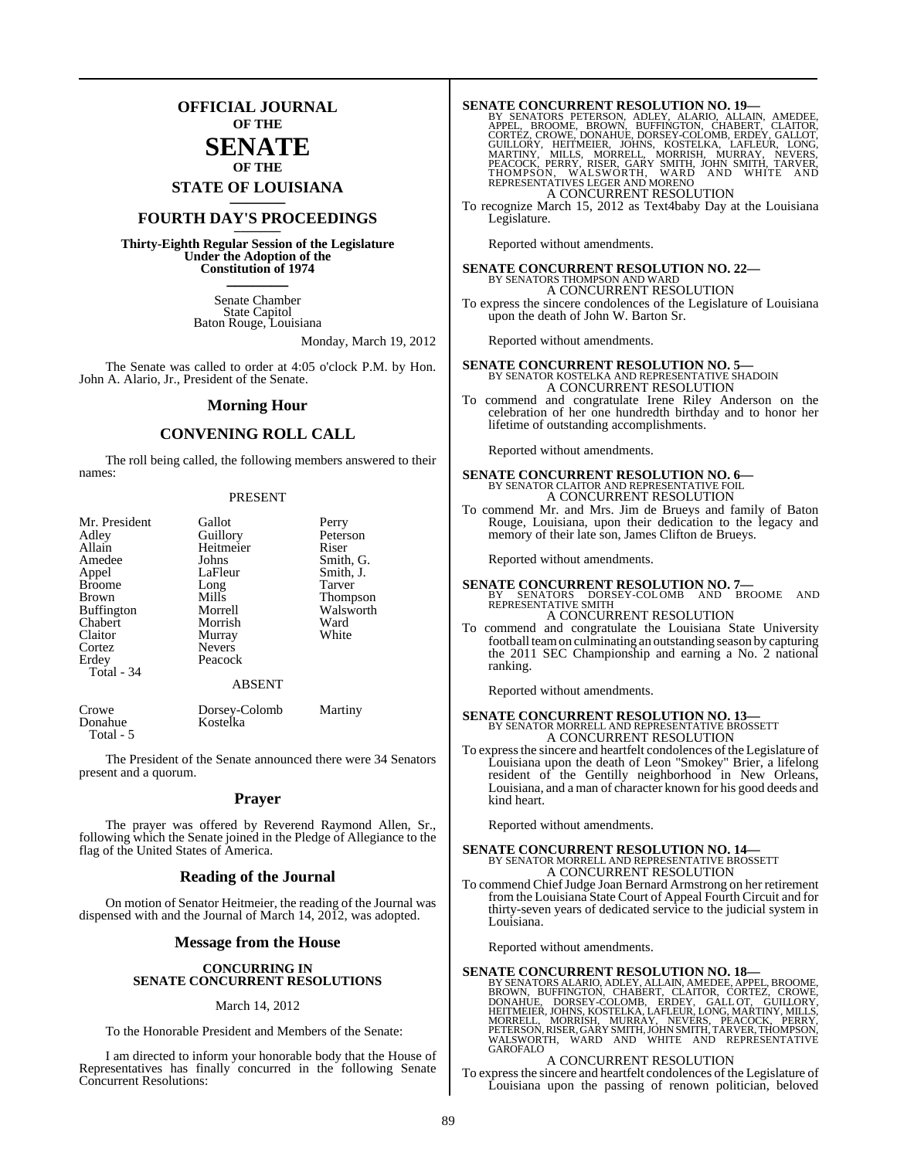## **OFFICIAL JOURNAL OF THE**

### **SENATE OF THE**

**STATE OF LOUISIANA \_\_\_\_\_\_\_**

## **FOURTH DAY'S PROCEEDINGS \_\_\_\_\_\_\_**

**Thirty-Eighth Regular Session of the Legislature Under the Adoption of the Constitution of 1974 \_\_\_\_\_\_\_**

> Senate Chamber State Capitol Baton Rouge, Louisiana

> > Monday, March 19, 2012

The Senate was called to order at 4:05 o'clock P.M. by Hon. John A. Alario, Jr., President of the Senate.

#### **Morning Hour**

#### **CONVENING ROLL CALL**

The roll being called, the following members answered to their names:

#### PRESENT

| Mr. President     | Gallot                    | Perry           |
|-------------------|---------------------------|-----------------|
| Adley             | Guillory                  | Peterson        |
| Allain            | Heitmeier                 | Riser           |
| Amedee            | Johns                     | Smith, G.       |
| Appel             | LaFleur                   | Smith, J.       |
| <b>Broome</b>     | Long                      | Tarver          |
| <b>Brown</b>      | Mills                     | <b>Thompson</b> |
| <b>Buffington</b> | Morrell                   | Walsworth       |
| Chabert           | Morrish                   | Ward            |
| Claitor           | Murray                    | White           |
| Cortez            | <b>Nevers</b>             |                 |
| Erdey             | Peacock                   |                 |
| Total - 34        |                           |                 |
|                   | <b>ABSENT</b>             |                 |
| Crowe<br>Donahue  | Dorsey-Colomb<br>Kostelka | Martiny         |

Total - 5

The President of the Senate announced there were 34 Senators present and a quorum.

#### **Prayer**

The prayer was offered by Reverend Raymond Allen, Sr., following which the Senate joined in the Pledge of Allegiance to the flag of the United States of America.

#### **Reading of the Journal**

On motion of Senator Heitmeier, the reading of the Journal was dispensed with and the Journal of March 14, 2012, was adopted.

#### **Message from the House**

#### **CONCURRING IN SENATE CONCURRENT RESOLUTIONS**

#### March 14, 2012

To the Honorable President and Members of the Senate:

I am directed to inform your honorable body that the House of Representatives has finally concurred in the following Senate Concurrent Resolutions:

SENATE CONCURRENT RESOLUTION NO. 19—<br>
BY SENATORS PETERSON, ADLEY, ALARIO, ALLAIN, AMEDEE,<br>
APPEL, BROOME, BROWN, BUFFINGTON, CHABERT, CLAITOR,<br>
CORTEZ, CROWE, DONAHUE, DORSEY-COLOMB, ERDEY, GALLOT,<br>
GUILLORY, HEITMEIER, J A CONCURRENT RESOLUTION

To recognize March 15, 2012 as Text4baby Day at the Louisiana Legislature.

Reported without amendments.

**SENATE CONCURRENT RESOLUTION NO. 22—** BY SENATORS THOMPSON AND WARD A CONCURRENT RESOLUTION

To express the sincere condolences of the Legislature of Louisiana upon the death of John W. Barton Sr.

Reported without amendments.

# **SENATE CONCURRENT RESOLUTION NO. 5—**<br>BY SENATOR KOSTELKA AND REPRESENTATIVE SHADOIN A CONCURRENT RESOLUTION

To commend and congratulate Irene Riley Anderson on the celebration of her one hundredth birthday and to honor her lifetime of outstanding accomplishments.

Reported without amendments.

## **SENATE CONCURRENT RESOLUTION NO. 6—** BY SENATOR CLAITOR AND REPRESENTATIVE FOIL A CONCURRENT RESOLUTION

To commend Mr. and Mrs. Jim de Brueys and family of Baton Rouge, Louisiana, upon their dedication to the legacy and memory of their late son, James Clifton de Brueys.

Reported without amendments.

- **SENATE CONCURRENT RESOLUTION NO. 7—**<br>BY SENATORS DORSEY-COLOMB AND BROOME AND<br>REPRESENTATIVE SMITH A CONCURRENT RESOLUTION
- To commend and congratulate the Louisiana State University football teamon culminating an outstanding season by capturing the 2011 SEC Championship and earning a No. 2 national ranking.

Reported without amendments.

### **SENATE CONCURRENT RESOLUTION NO. 13—** BY SENATOR MORRELL AND REPRESENTATIVE BROSSETT A CONCURRENT RESOLUTION

To express the sincere and heartfelt condolences of the Legislature of Louisiana upon the death of Leon "Smokey" Brier, a lifelong resident of the Gentilly neighborhood in New Orleans, Louisiana, and a man of character known for his good deeds and kind heart.

Reported without amendments.

## **SENATE CONCURRENT RESOLUTION NO. 14—** BY SENATOR MORRELL AND REPRESENTATIVE BROSSETT A CONCURRENT RESOLUTION

To commend ChiefJudge Joan Bernard Armstrong on her retirement from the Louisiana State Court of Appeal Fourth Circuit and for thirty-seven years of dedicated service to the judicial system in Louisiana.

Reported without amendments.

SENATE CONCURRENT RESOLUTION NO. 18<br>BY SENATORS ALARIO, ADLEY, ALLAIN, AMEDEE, APPEL, BROOME, BROWN, BUFFINGTON, CHABERT, CLAITOR, CORTEZ, CROWE,<br>DONAHUE, DORSEY-COLOMB, ERDEY, GALL OT, GUILLORY,<br>HEITMEIER, JOHNS, KOSTELKA

#### A CONCURRENT RESOLUTION

To expressthe sincere and heartfelt condolences of the Legislature of Louisiana upon the passing of renown politician, beloved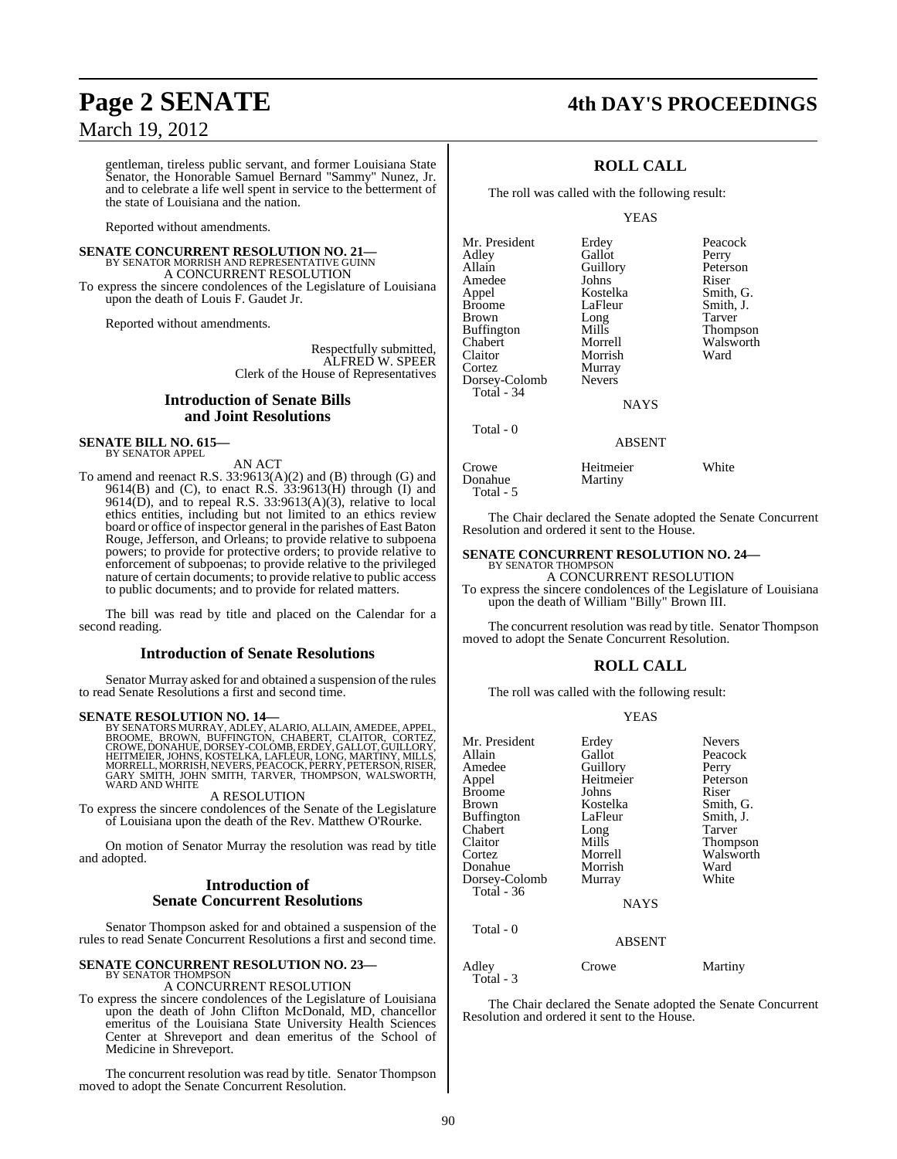#### gentleman, tireless public servant, and former Louisiana State Senator, the Honorable Samuel Bernard "Sammy" Nunez, Jr. and to celebrate a life well spent in service to the betterment of the state of Louisiana and the nation.

Reported without amendments.

### **SENATE CONCURRENT RESOLUTION NO. 21—** BY SENATOR MORRISH AND REPRESENTATIVE GUINN A CONCURRENT RESOLUTION

To express the sincere condolences of the Legislature of Louisiana upon the death of Louis F. Gaudet Jr.

Reported without amendments.

Respectfully submitted, ALFRED W. SPEER Clerk of the House of Representatives

#### **Introduction of Senate Bills and Joint Resolutions**

#### **SENATE BILL NO. 615—** BY SENATOR APPEL

AN ACT

To amend and reenact R.S. 33:9613(A)(2) and (B) through (G) and 9614(B) and (C), to enact R.S. 33:9613(H) through (I) and  $9614(D)$ , and to repeal R.S. 33:9613(A)(3), relative to local ethics entities, including but not limited to an ethics review board or office of inspector general in the parishes of East Baton Rouge, Jefferson, and Orleans; to provide relative to subpoena powers; to provide for protective orders; to provide relative to enforcement of subpoenas; to provide relative to the privileged nature of certain documents; to provide relative to public access to public documents; and to provide for related matters.

The bill was read by title and placed on the Calendar for a second reading.

#### **Introduction of Senate Resolutions**

Senator Murray asked for and obtained a suspension of the rules to read Senate Resolutions a first and second time.

**SENATE RESOLUTION NO. 14—**<br>BY SENATORS MURRAY, ADLEY, ALARIO, ALLAIN, AMEDEE, APPEL,<br>BROOME, BROWN, BUFFINGTON, CHABERT, CLAITOR, CORTEZ,<br>CROWE, DONAHUE, DORSEY-COLOMB, ERDEY, GALLOT, GUILLORY, HEITMEIER, JOHNS, KOSTELKA, LAFLEUR, LONG, MARTINY, MILLS, MORRELL, MORRISH, NEVERS, PEACOCK, PERRY, PETERSON,RISER, GARY SMITH, JOHN SMITH, TARVER, THOMPSON, WALSWORTH, WARD AND WHITE

#### A RESOLUTION

To express the sincere condolences of the Senate of the Legislature of Louisiana upon the death of the Rev. Matthew O'Rourke.

On motion of Senator Murray the resolution was read by title and adopted.

#### **Introduction of Senate Concurrent Resolutions**

Senator Thompson asked for and obtained a suspension of the rules to read Senate Concurrent Resolutions a first and second time.

#### **SENATE CONCURRENT RESOLUTION NO. 23—** BY SENATOR THOMPSON A CONCURRENT RESOLUTION

To express the sincere condolences of the Legislature of Louisiana upon the death of John Clifton McDonald, MD, chancellor emeritus of the Louisiana State University Health Sciences Center at Shreveport and dean emeritus of the School of Medicine in Shreveport.

The concurrent resolution was read by title. Senator Thompson moved to adopt the Senate Concurrent Resolution.

## **Page 2 SENATE 4th DAY'S PROCEEDINGS**

### **ROLL CALL**

The roll was called with the following result:

YEAS

| Mr. President<br>Adley<br>Allain<br>Amedee<br>Appel<br><b>Broome</b><br><b>Brown</b><br><b>Buffington</b><br>Chabert<br>Claitor<br>Cortez<br>Dorsey-Colomb<br>Total - 34 | Erdey<br>Gallot<br>Guillory<br>Johns<br>Kostelka<br>LaFleur<br>Long<br>Mills<br>Morrell<br>Morrish<br>Murray<br><b>Nevers</b><br><b>NAYS</b> | Peacock<br>Perry<br>Peterson<br>Riser<br>Smith, G.<br>Smith, J.<br>Tarver<br><b>Thompson</b><br>Walsworth<br>Ward |
|--------------------------------------------------------------------------------------------------------------------------------------------------------------------------|----------------------------------------------------------------------------------------------------------------------------------------------|-------------------------------------------------------------------------------------------------------------------|
| Total - 0                                                                                                                                                                |                                                                                                                                              |                                                                                                                   |

#### ABSENT

| Crowe     | Heitmeier | White |
|-----------|-----------|-------|
| Donahue   | Martiny   |       |
| Total - 5 |           |       |

The Chair declared the Senate adopted the Senate Concurrent Resolution and ordered it sent to the House.

#### **SENATE CONCURRENT RESOLUTION NO. 24—**

BY SENATOR THOMPSON A CONCURRENT RESOLUTION

To express the sincere condolences of the Legislature of Louisiana upon the death of William "Billy" Brown III.

The concurrent resolution was read by title. Senator Thompson moved to adopt the Senate Concurrent Resolution.

#### **ROLL CALL**

The roll was called with the following result:

#### YEAS

| Mr. President     | Erdey         | <b>Nevers</b> |
|-------------------|---------------|---------------|
| Allain            | Gallot        | Peacock       |
| Amedee            | Guillory      | Perry         |
| Appel             | Heitmeier     | Peterson      |
| <b>Broome</b>     | Johns         | Riser         |
| Brown             | Kostelka      | Smith, G.     |
| <b>Buffington</b> | LaFleur       | Smith, J.     |
| Chabert           | Long          | Tarver        |
| Claitor           | Mills         | Thompson      |
| Cortez            | Morrell       | Walsworth     |
| Donahue           | Morrish       | Ward          |
| Dorsey-Colomb     | Murray        | White         |
| Total - 36        |               |               |
|                   | <b>NAYS</b>   |               |
| Total - 0         |               |               |
|                   | <b>ABSENT</b> |               |
| Adley             | Crowe         | Martiny       |

Total - 3

The Chair declared the Senate adopted the Senate Concurrent Resolution and ordered it sent to the House.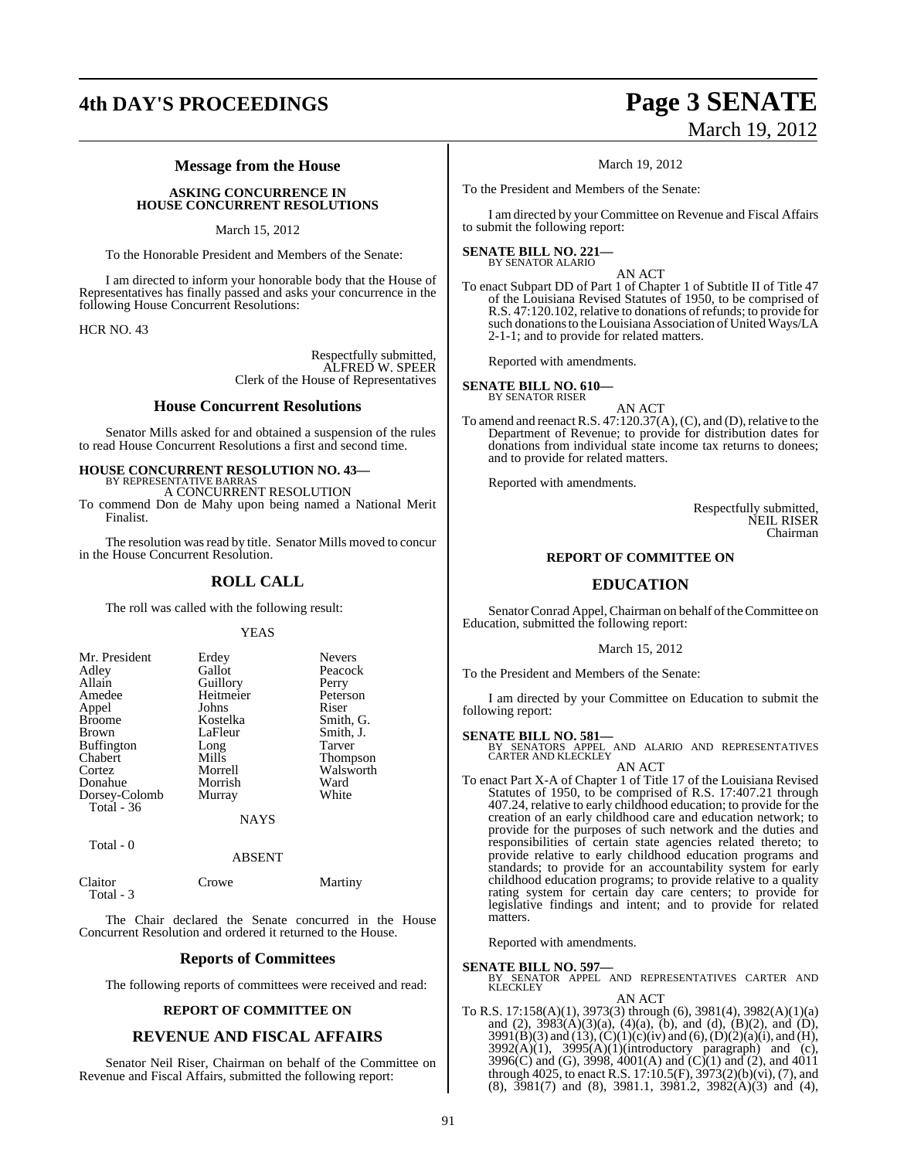## **4th DAY'S PROCEEDINGS Page 3 SENATE**

# March 19, 2012

#### **Message from the House**

#### **ASKING CONCURRENCE IN HOUSE CONCURRENT RESOLUTIONS**

#### March 15, 2012

To the Honorable President and Members of the Senate:

I am directed to inform your honorable body that the House of Representatives has finally passed and asks your concurrence in the following House Concurrent Resolutions:

HCR NO. 43

Respectfully submitted, ALFRED W. SPEER Clerk of the House of Representatives

#### **House Concurrent Resolutions**

Senator Mills asked for and obtained a suspension of the rules to read House Concurrent Resolutions a first and second time.

#### **HOUSE CONCURRENT RESOLUTION NO. 43—** BY REPRESENTATIVE BARRA

A CONCURRENT RESOLUTION

To commend Don de Mahy upon being named a National Merit Finalist.

The resolution was read by title. Senator Mills moved to concur in the House Concurrent Resolution.

#### **ROLL CALL**

The roll was called with the following result:

#### YEAS

| Mr. President<br>Adley<br>Allain<br>Amedee | Erdey<br>Gallot<br>Guillory<br>Heitmeier | <b>Nevers</b><br>Peacock<br>Perry<br>Peterson |
|--------------------------------------------|------------------------------------------|-----------------------------------------------|
| Appel<br><b>Broome</b>                     | Johns<br>Kostelka                        | Riser<br>Smith, G.                            |
| <b>Brown</b>                               | LaFleur                                  | Smith, J.                                     |
| <b>Buffington</b>                          | Long                                     | Tarver                                        |
| Chabert                                    | Mills                                    | <b>Thompson</b>                               |
| Cortez                                     | Morrell                                  | Walsworth                                     |
| Donahue                                    | Morrish                                  | Ward                                          |
| Dorsey-Colomb                              | Murray                                   | White                                         |
| Total - 36                                 |                                          |                                               |
|                                            | NAYS                                     |                                               |

Total - 0

ABSENT

| Claitor   | Crowe | Martiny |
|-----------|-------|---------|
| Total - 3 |       |         |

The Chair declared the Senate concurred in the House Concurrent Resolution and ordered it returned to the House.

#### **Reports of Committees**

The following reports of committees were received and read:

#### **REPORT OF COMMITTEE ON**

#### **REVENUE AND FISCAL AFFAIRS**

Senator Neil Riser, Chairman on behalf of the Committee on Revenue and Fiscal Affairs, submitted the following report:

#### March 19, 2012

To the President and Members of the Senate:

I am directed by your Committee on Revenue and Fiscal Affairs to submit the following report:

#### **SENATE BILL NO. 221—** BY SENATOR ALARIO

AN ACT

To enact Subpart DD of Part 1 of Chapter 1 of Subtitle II of Title 47 of the Louisiana Revised Statutes of 1950, to be comprised of R.S. 47:120.102, relative to donations of refunds; to provide for such donations to the Louisiana Association of United Ways/LA 2-1-1; and to provide for related matters.

Reported with amendments.

**SENATE BILL NO. 610—** BY SENATOR RISER

AN ACT

To amend and reenact R.S.  $47:120.37(A)$ , (C), and (D), relative to the Department of Revenue; to provide for distribution dates for donations from individual state income tax returns to donees; and to provide for related matters.

Reported with amendments.

Respectfully submitted, NEIL RISER Chairman

#### **REPORT OF COMMITTEE ON**

### **EDUCATION**

Senator Conrad Appel, Chairman on behalf of the Committee on Education, submitted the following report:

March 15, 2012

To the President and Members of the Senate:

I am directed by your Committee on Education to submit the following report:

**SENATE BILL NO. 581—**<br>BY SENATORS APPEL AND ALARIO AND REPRESENTATIVES<br>CARTER AND KLECKLEY AN ACT

To enact Part X-A of Chapter 1 of Title 17 of the Louisiana Revised Statutes of 1950, to be comprised of R.S. 17:407.21 through 407.24, relative to early childhood education; to provide for the creation of an early childhood care and education network; to provide for the purposes of such network and the duties and responsibilities of certain state agencies related thereto; to provide relative to early childhood education programs and standards; to provide for an accountability system for early childhood education programs; to provide relative to a quality rating system for certain day care centers; to provide for legislative findings and intent; and to provide for related matters.

Reported with amendments.

**SENATE BILL NO. 597—**<br>BY SENATOR APPEL AND REPRESENTATIVES CARTER AND KLECKLEY AN ACT

To R.S. 17:158(A)(1), 3973(3) through (6), 3981(4), 3982(A)(1)(a) and (2),  $3983(A)(3)(a)$ ,  $(4)(a)$ ,  $(b)$ , and  $(d)$ ,  $(B)(2)$ , and  $(D)$ ,  $3991(B)(3)$  and  $(13)$ ,  $(C)(1)(c)(iv)$  and  $(6)$ ,  $(D)(2)(a)(i)$ , and  $(H)$ ,  $3992(A)(1)$ ,  $3995(A)(1)(introductory paragraph)$  and (c), 3996(C) and (G), 3998, 4001(A) and (C)(1) and (2), and 4011 through 4025, to enact R.S. 17:10.5(F), 3973(2)(b)(vi), (7), and (8), 3981(7) and (8), 3981.1, 3981.2, 3982(A)(3) and (4),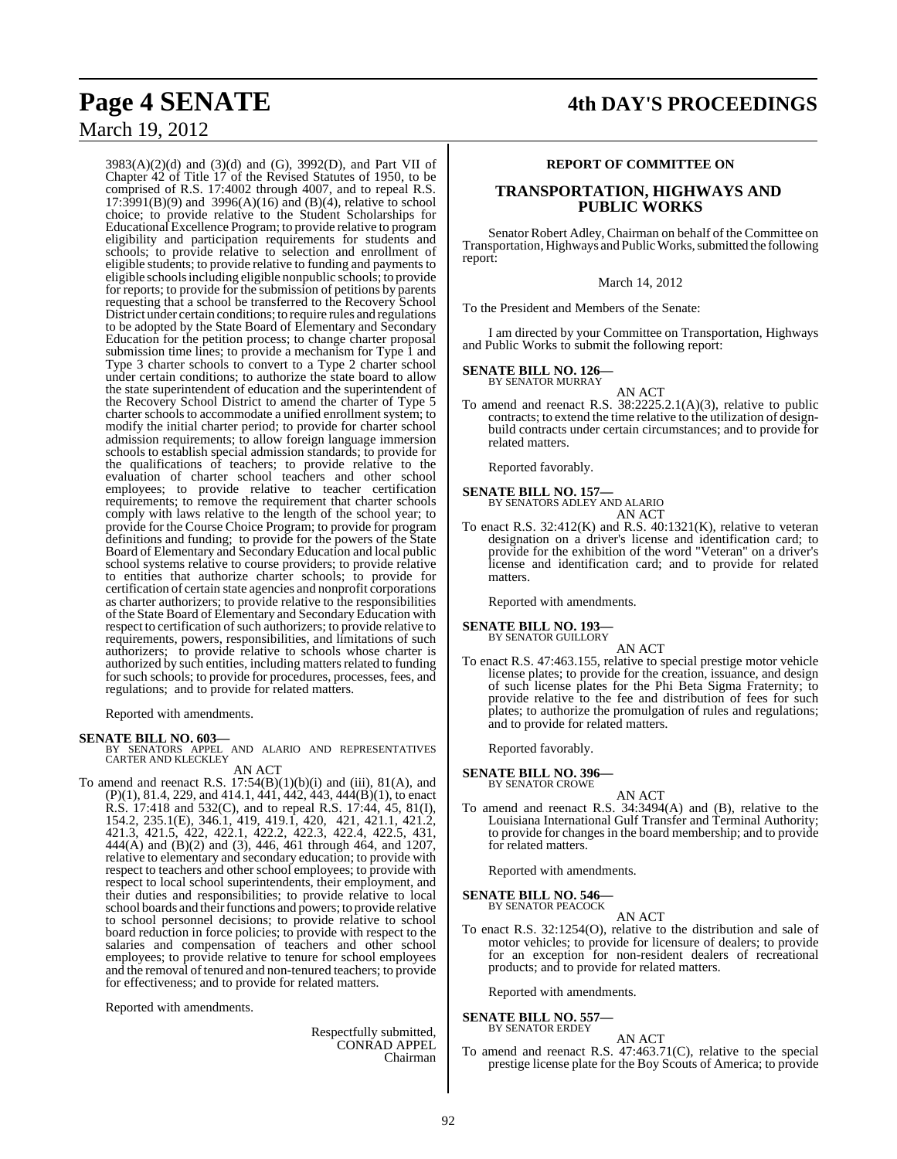3983(A)(2)(d) and (3)(d) and (G), 3992(D), and Part VII of Chapter 42 of Title 17 of the Revised Statutes of 1950, to be comprised of R.S. 17:4002 through 4007, and to repeal R.S.  $17:3991(B)(9)$  and  $3996(A)(16)$  and  $(B)(4)$ , relative to school choice; to provide relative to the Student Scholarships for Educational Excellence Program; to provide relative to program eligibility and participation requirements for students and schools; to provide relative to selection and enrollment of eligible students; to provide relative to funding and payments to eligible schoolsincluding eligible nonpublic schools; to provide for reports; to provide for the submission of petitions by parents requesting that a school be transferred to the Recovery School District under certain conditions; to require rules and regulations to be adopted by the State Board of Elementary and Secondary Education for the petition process; to change charter proposal submission time lines; to provide a mechanism for Type 1 and Type 3 charter schools to convert to a Type 2 charter school under certain conditions; to authorize the state board to allow the state superintendent of education and the superintendent of the Recovery School District to amend the charter of Type 5 charter schools to accommodate a unified enrollment system; to modify the initial charter period; to provide for charter school admission requirements; to allow foreign language immersion schools to establish special admission standards; to provide for the qualifications of teachers; to provide relative to the evaluation of charter school teachers and other school employees; to provide relative to teacher certification requirements; to remove the requirement that charter schools comply with laws relative to the length of the school year; to provide for the Course Choice Program; to provide for program definitions and funding; to provide for the powers of the State Board of Elementary and Secondary Education and local public school systems relative to course providers; to provide relative to entities that authorize charter schools; to provide for certification of certain state agencies and nonprofit corporations as charter authorizers; to provide relative to the responsibilities of the State Board of Elementary and Secondary Education with respect to certification of such authorizers; to provide relative to requirements, powers, responsibilities, and limitations of such authorizers; to provide relative to schools whose charter is authorized by such entities, including matters related to funding for such schools; to provide for procedures, processes, fees, and regulations; and to provide for related matters.

Reported with amendments.

#### **SENATE BILL NO. 603—**

BY SENATORS APPEL AND ALARIO AND REPRESENTATIVES CARTER AND KLECKLEY AN ACT

To amend and reenact R.S. 17:54(B)(1)(b)(i) and (iii), 81(A), and (P)(1), 81.4, 229, and 414.1, 441, 442, 443, 444(B)(1), to enact R.S. 17:418 and 532(C), and to repeal R.S. 17:44, 45, 81(I), 154.2, 235.1(E), 346.1, 419, 419.1, 420, 421, 421.1, 421.2, 421.3, 421.5, 422, 422.1, 422.2, 422.3, 422.4, 422.5, 431, 444(A) and (B)(2) and (3), 446, 461 through 464, and 1207, relative to elementary and secondary education; to provide with respect to teachers and other school employees; to provide with respect to local school superintendents, their employment, and their duties and responsibilities; to provide relative to local school boards and their functions and powers; to provide relative to school personnel decisions; to provide relative to school board reduction in force policies; to provide with respect to the salaries and compensation of teachers and other school employees; to provide relative to tenure for school employees and the removal of tenured and non-tenured teachers; to provide for effectiveness; and to provide for related matters.

Reported with amendments.

Respectfully submitted, CONRAD APPEL Chairman

#### **REPORT OF COMMITTEE ON**

#### **TRANSPORTATION, HIGHWAYS AND PUBLIC WORKS**

Senator Robert Adley, Chairman on behalf of the Committee on Transportation, Highways and Public Works, submitted the following report:

#### March 14, 2012

To the President and Members of the Senate:

I am directed by your Committee on Transportation, Highways and Public Works to submit the following report:

#### **SENATE BILL NO. 126—** BY SENATOR MURRAY

- AN ACT
- To amend and reenact R.S. 38:2225.2.1(A)(3), relative to public contracts; to extend the time relative to the utilization of designbuild contracts under certain circumstances; and to provide for related matters.

Reported favorably.

## **SENATE BILL NO. 157—** BY SENATORS ADLEY AND ALARIO

- AN ACT
- To enact R.S. 32:412(K) and R.S. 40:1321(K), relative to veteran designation on a driver's license and identification card; to provide for the exhibition of the word "Veteran" on a driver's license and identification card; and to provide for related matters.

Reported with amendments.

#### **SENATE BILL NO. 193—** BY SENATOR GUILLORY

AN ACT

To enact R.S. 47:463.155, relative to special prestige motor vehicle license plates; to provide for the creation, issuance, and design of such license plates for the Phi Beta Sigma Fraternity; to provide relative to the fee and distribution of fees for such plates; to authorize the promulgation of rules and regulations; and to provide for related matters.

Reported favorably.

# **SENATE BILL NO. 396—** BY SENATOR CROWE

AN ACT

To amend and reenact R.S. 34:3494(A) and (B), relative to the Louisiana International Gulf Transfer and Terminal Authority; to provide for changes in the board membership; and to provide for related matters.

Reported with amendments.

**SENATE BILL NO. 546—**

BY SENATOR PEACOCK AN ACT

To enact R.S. 32:1254(O), relative to the distribution and sale of motor vehicles; to provide for licensure of dealers; to provide for an exception for non-resident dealers of recreational products; and to provide for related matters.

Reported with amendments.

#### **SENATE BILL NO. 557—** BY SENATOR ERDEY

AN ACT To amend and reenact R.S. 47:463.71(C), relative to the special prestige license plate for the Boy Scouts of America; to provide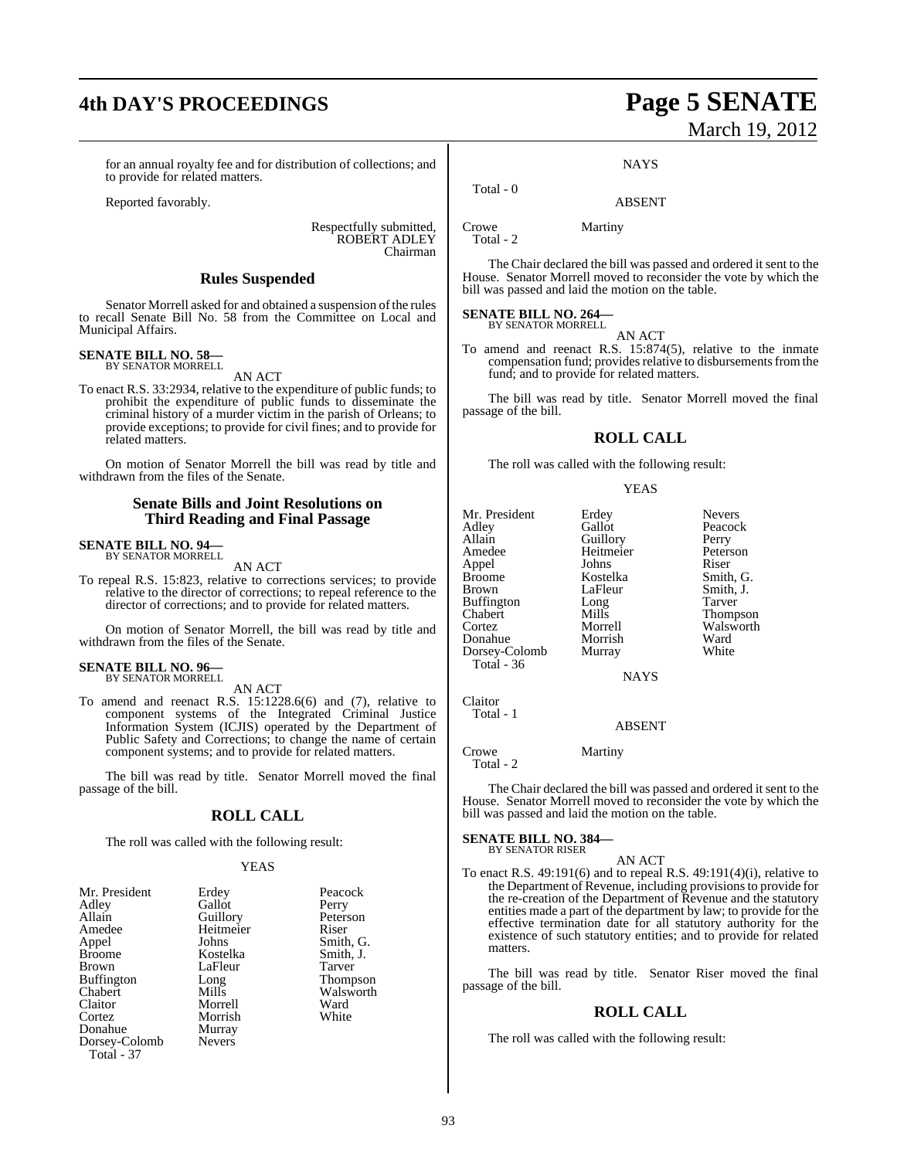## **4th DAY'S PROCEEDINGS Page 5 SENATE**

#### for an annual royalty fee and for distribution of collections; and to provide for related matters.

Reported favorably.

Respectfully submitted, ROBERT ADLEY Chairman

#### **Rules Suspended**

Senator Morrell asked for and obtained a suspension of the rules to recall Senate Bill No. 58 from the Committee on Local and Municipal Affairs.

#### **SENATE BILL NO. 58—** BY SENATOR MORRELL

AN ACT

To enact R.S. 33:2934, relative to the expenditure of public funds; to prohibit the expenditure of public funds to disseminate the criminal history of a murder victim in the parish of Orleans; to provide exceptions; to provide for civil fines; and to provide for related matters.

On motion of Senator Morrell the bill was read by title and withdrawn from the files of the Senate.

#### **Senate Bills and Joint Resolutions on Third Reading and Final Passage**

#### **SENATE BILL NO. 94—** BY SENATOR MORRELL

AN ACT

To repeal R.S. 15:823, relative to corrections services; to provide relative to the director of corrections; to repeal reference to the director of corrections; and to provide for related matters.

On motion of Senator Morrell, the bill was read by title and withdrawn from the files of the Senate.

## **SENATE BILL NO. 96—** BY SENATOR MORRELL

AN ACT

To amend and reenact R.S. 15:1228.6(6) and (7), relative to component systems of the Integrated Criminal Justice Information System (ICJIS) operated by the Department of Public Safety and Corrections; to change the name of certain component systems; and to provide for related matters.

The bill was read by title. Senator Morrell moved the final passage of the bill.

### **ROLL CALL**

The roll was called with the following result:

#### YEAS

| Mr. President     | Erdey         | Peacock       |
|-------------------|---------------|---------------|
| Adley             | Gallot        | Perry         |
| Allain            | Guillory      | Peterson      |
| Amedee            | Heitmeier     | Riser         |
| Appel             | Johns         | Smith, C      |
| <b>Broome</b>     | Kostelka      | Smith, J.     |
| <b>Brown</b>      | LaFleur       | Tarver        |
| <b>Buffington</b> | Long          | <b>Thomps</b> |
| Chabert           | Mills         | Walswo        |
| Claitor           | Morrell       | Ward          |
| Cortez            | Morrish       | White         |
| Donahue           | Murray        |               |
| Dorsey-Colomb     | <b>Nevers</b> |               |
| Total - 37        |               |               |

Perry Peterson<br>
er Riser Smith, J.<br>Tarver Thompson

Smith, G.

Walsworth<br>Ward

# March 19, 2012

**NAYS** 

#### ABSENT

Crowe Martiny

Total - 0

Total - 2

The Chair declared the bill was passed and ordered it sent to the House. Senator Morrell moved to reconsider the vote by which the bill was passed and laid the motion on the table.

## **SENATE BILL NO. 264—** BY SENATOR MORRELL

AN ACT

To amend and reenact R.S. 15:874(5), relative to the inmate compensation fund; provides relative to disbursements from the fund; and to provide for related matters.

The bill was read by title. Senator Morrell moved the final passage of the bill.

#### **ROLL CALL**

The roll was called with the following result:

#### YEAS

Mr. President Erdey Nevers<br>Adley Gallot Peacock Allain Guillory Perry<br>
Amedee Heitmeier Peterson Appel Johns<br>Broome Kostelka Broome Kostelka Smith, G. Buffington Long<br>Chabert Mills Chabert Mills Thompson Donahue Morrish Ward<br>Dorsey-Colomb Murray White Dorsey-Colomb Total - 36

Claitor Total - 1

Gallot Heitmeier Peters<br>
Johns Riser LaFleur Smith,<br>Long Tarver **NAYS** 

Walsworth<br>Ward

ABSENT

Crowe Martiny Total - 2

The Chair declared the bill was passed and ordered it sent to the House. Senator Morrell moved to reconsider the vote by which the bill was passed and laid the motion on the table.

#### **SENATE BILL NO. 384—** BY SENATOR RISER

AN ACT

To enact R.S. 49:191(6) and to repeal R.S. 49:191(4)(i), relative to the Department of Revenue, including provisions to provide for the re-creation of the Department of Revenue and the statutory entities made a part of the department by law; to provide for the effective termination date for all statutory authority for the existence of such statutory entities; and to provide for related matters.

The bill was read by title. Senator Riser moved the final passage of the bill.

#### **ROLL CALL**

The roll was called with the following result: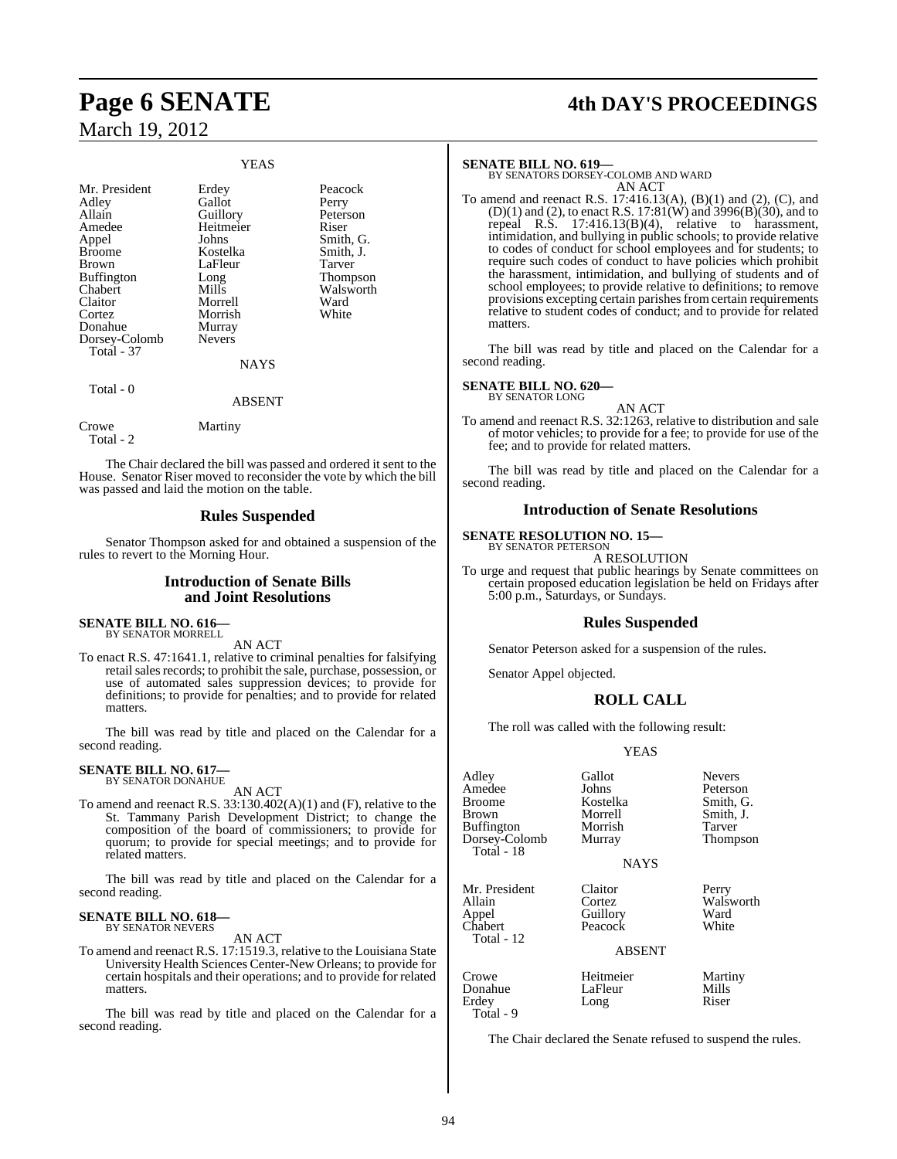#### YEAS

| Mr. President<br>Adley<br>Allain<br>Amedee<br>Appel<br><b>Broome</b><br>Brown<br><b>Buffington</b><br>Chabert<br>Claitor<br>Cortez | Erdey<br>Gallot<br>Guillory<br>Heitmeier<br>Johns<br>Kostelka<br>LaFleur<br>Long<br>Mills<br>Morrell<br>Morrish | Peacock<br>Perry<br>Peterson<br>Riser<br>Smith, G.<br>Smith, J.<br>Tarver<br>Thompson<br>Walsworth<br>Ward<br>White |
|------------------------------------------------------------------------------------------------------------------------------------|-----------------------------------------------------------------------------------------------------------------|---------------------------------------------------------------------------------------------------------------------|
| Donahue<br>Dorsey-Colomb<br><b>Total</b> - 37                                                                                      | Murray<br><b>Nevers</b><br><b>NAYS</b>                                                                          |                                                                                                                     |
| Total - 0                                                                                                                          | <b>ABSENT</b>                                                                                                   |                                                                                                                     |
| Crowe                                                                                                                              | Martiny                                                                                                         |                                                                                                                     |

The Chair declared the bill was passed and ordered it sent to the House. Senator Riser moved to reconsider the vote by which the bill was passed and laid the motion on the table.

#### **Rules Suspended**

Senator Thompson asked for and obtained a suspension of the rules to revert to the Morning Hour.

#### **Introduction of Senate Bills and Joint Resolutions**

#### **SENATE BILL NO. 616—** BY SENATOR MORRELL

Total - 2

AN ACT

To enact R.S. 47:1641.1, relative to criminal penalties for falsifying retail sales records; to prohibit the sale, purchase, possession, or use of automated sales suppression devices; to provide for definitions; to provide for penalties; and to provide for related matters.

The bill was read by title and placed on the Calendar for a second reading.

## **SENATE BILL NO. 617—** BY SENATOR DONAHUE

AN ACT

To amend and reenact R.S. 33:130.402(A)(1) and (F), relative to the St. Tammany Parish Development District; to change the composition of the board of commissioners; to provide for quorum; to provide for special meetings; and to provide for related matters.

The bill was read by title and placed on the Calendar for a second reading.

## **SENATE BILL NO. 618—** BY SENATOR NEVERS

AN ACT

To amend and reenact R.S. 17:1519.3, relative to the Louisiana State University Health Sciences Center-New Orleans; to provide for certain hospitals and their operations; and to provide for related matters.

The bill was read by title and placed on the Calendar for a second reading.

## **Page 6 SENATE 4th DAY'S PROCEEDINGS**

#### **SENATE BILL NO. 619—**

BY SENATORS DORSEY-COLOMB AND WARD AN ACT

To amend and reenact R.S. 17:416.13(A), (B)(1) and (2), (C), and (D)(1) and (2), to enact R.S. 17:81(W) and 3996(B)(30), and to repeal R.S. 17:416.13(B)(4), relative to harassment, intimidation, and bullying in public schools; to provide relative to codes of conduct for school employees and for students; to require such codes of conduct to have policies which prohibit the harassment, intimidation, and bullying of students and of school employees; to provide relative to definitions; to remove provisions excepting certain parishes from certain requirements relative to student codes of conduct; and to provide for related matters.

The bill was read by title and placed on the Calendar for a second reading.

#### **SENATE BILL NO. 620—** BY SENATOR LONG

AN ACT

To amend and reenact R.S. 32:1263, relative to distribution and sale of motor vehicles; to provide for a fee; to provide for use of the fee; and to provide for related matters.

The bill was read by title and placed on the Calendar for a second reading.

#### **Introduction of Senate Resolutions**

**SENATE RESOLUTION NO. 15—**

BY SENATOR PETERSON A RESOLUTION

To urge and request that public hearings by Senate committees on certain proposed education legislation be held on Fridays after 5:00 p.m., Saturdays, or Sundays.

#### **Rules Suspended**

Senator Peterson asked for a suspension of the rules.

Senator Appel objected.

#### **ROLL CALL**

The roll was called with the following result:

#### YEAS

| Adley<br>Amedee<br><b>Broome</b><br>Brown<br><b>Buffington</b><br>Dorsey-Colomb<br><b>Total - 18</b> | Gallot<br>Johns<br>Kostelka<br>Morrell<br>Morrish<br>Murray<br><b>NAYS</b> | <b>Nevers</b><br>Peterson<br>Smith, G.<br>Smith, J.<br>Tarver<br>Thompson |
|------------------------------------------------------------------------------------------------------|----------------------------------------------------------------------------|---------------------------------------------------------------------------|
| Mr. President<br>Allain<br>Appel<br>Chabert<br>Total - 12                                            | Claitor<br>Cortez<br>Guillory<br>Peacock<br><b>ABSENT</b>                  | Perry<br>Walsworth<br>Ward<br>White                                       |
| Crowe<br>Donahue                                                                                     | Heitmeier<br>LaFleur                                                       | Martiny<br>Mills                                                          |

Erdey Long Riser Total - 9

The Chair declared the Senate refused to suspend the rules.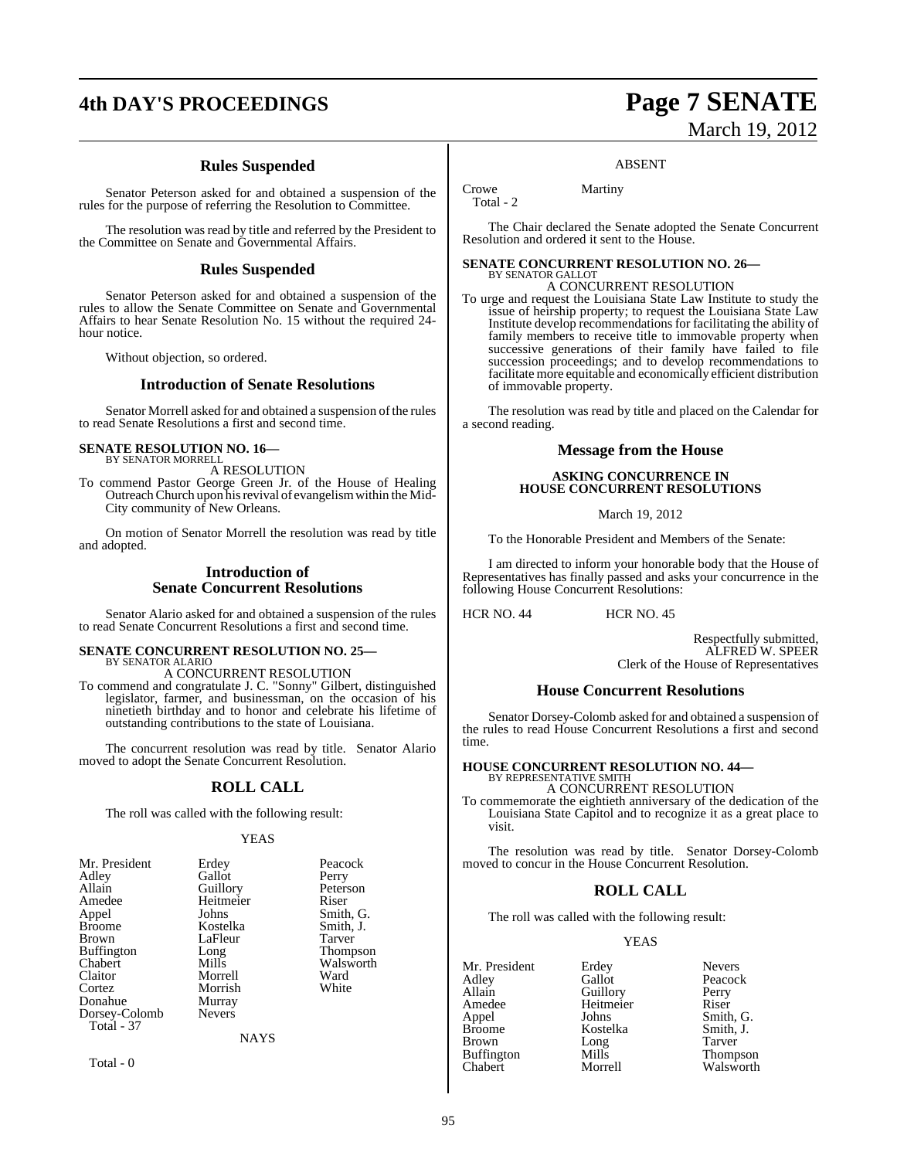## **4th DAY'S PROCEEDINGS Page 7 SENATE**

## **Rules Suspended**

Senator Peterson asked for and obtained a suspension of the rules for the purpose of referring the Resolution to Committee.

The resolution was read by title and referred by the President to the Committee on Senate and Governmental Affairs.

#### **Rules Suspended**

Senator Peterson asked for and obtained a suspension of the rules to allow the Senate Committee on Senate and Governmental Affairs to hear Senate Resolution No. 15 without the required 24 hour notice.

Without objection, so ordered.

### **Introduction of Senate Resolutions**

Senator Morrell asked for and obtained a suspension of the rules to read Senate Resolutions a first and second time.

#### **SENATE RESOLUTION NO. 16—** BY SENATOR MORRELL

A RESOLUTION

To commend Pastor George Green Jr. of the House of Healing Outreach Church upon his revival of evangelism within the Mid-City community of New Orleans.

On motion of Senator Morrell the resolution was read by title and adopted.

#### **Introduction of Senate Concurrent Resolutions**

Senator Alario asked for and obtained a suspension of the rules to read Senate Concurrent Resolutions a first and second time.

#### **SENATE CONCURRENT RESOLUTION NO. 25—** BY SENATOR ALARIO

A CONCURRENT RESOLUTION

To commend and congratulate J. C. "Sonny" Gilbert, distinguished legislator, farmer, and businessman, on the occasion of his ninetieth birthday and to honor and celebrate his lifetime of outstanding contributions to the state of Louisiana.

The concurrent resolution was read by title. Senator Alario moved to adopt the Senate Concurrent Resolution.

#### **ROLL CALL**

The roll was called with the following result:

#### YEAS

| Mr. President | Erdey         | Peacock         |
|---------------|---------------|-----------------|
| Adley         | Gallot        | Perry           |
| Allain        | Guillory      | Peterson        |
| Amedee        | Heitmeier     | Riser           |
| Appel         | Johns         | Smith, G.       |
| Broome        | Kostelka      | Smith, J.       |
| Brown         | LaFleur       | Tarver          |
| Buffington    | Long          | <b>Thompson</b> |
| Chabert       | Mills         | Walsworth       |
| Claitor       | Morrell       | Ward            |
| Cortez        | Morrish       | White           |
| Donahue       | Murray        |                 |
| Dorsey-Colomb | <b>Nevers</b> |                 |
| Total - 37    |               |                 |
|               | <b>NAYS</b>   |                 |
|               |               |                 |

Total - 0

# March 19, 2012

#### ABSENT

Crowe Martiny Total - 2

The Chair declared the Senate adopted the Senate Concurrent Resolution and ordered it sent to the House.

#### **SENATE CONCURRENT RESOLUTION NO. 26—** BY SENATOR GALLOT

### A CONCURRENT RESOLUTION

To urge and request the Louisiana State Law Institute to study the issue of heirship property; to request the Louisiana State Law Institute develop recommendations for facilitating the ability of family members to receive title to immovable property when successive generations of their family have failed to file succession proceedings; and to develop recommendations to facilitate more equitable and economically efficient distribution of immovable property.

The resolution was read by title and placed on the Calendar for a second reading.

#### **Message from the House**

#### **ASKING CONCURRENCE IN HOUSE CONCURRENT RESOLUTIONS**

March 19, 2012

To the Honorable President and Members of the Senate:

I am directed to inform your honorable body that the House of Representatives has finally passed and asks your concurrence in the following House Concurrent Resolutions:

HCR NO. 44 HCR NO. 45

Respectfully submitted, ALFRED W. SPEER Clerk of the House of Representatives

#### **House Concurrent Resolutions**

Senator Dorsey-Colomb asked for and obtained a suspension of the rules to read House Concurrent Resolutions a first and second time.

# **HOUSE CONCURRENT RESOLUTION NO. 44—** BY REPRESENTATIVE SMITH

A CONCURRENT RESOLUTION

To commemorate the eightieth anniversary of the dedication of the Louisiana State Capitol and to recognize it as a great place to visit.

The resolution was read by title. Senator Dorsey-Colomb moved to concur in the House Concurrent Resolution.

#### **ROLL CALL**

The roll was called with the following result:

Heitmeier

#### YEAS

Mr. President Erdey Nevers<br>Adlev Gallot Peacoc Adley Gallot Peacock Allain Guillory Perry<br>
Amedee Heitmeier Riser Appel Johns Smith, G. Brown Long Tarver<br>
Buffington Mills Thompson Buffington Mills<br>Chabert Morrell

Kostelka Smith,<br>Long Tarver Walsworth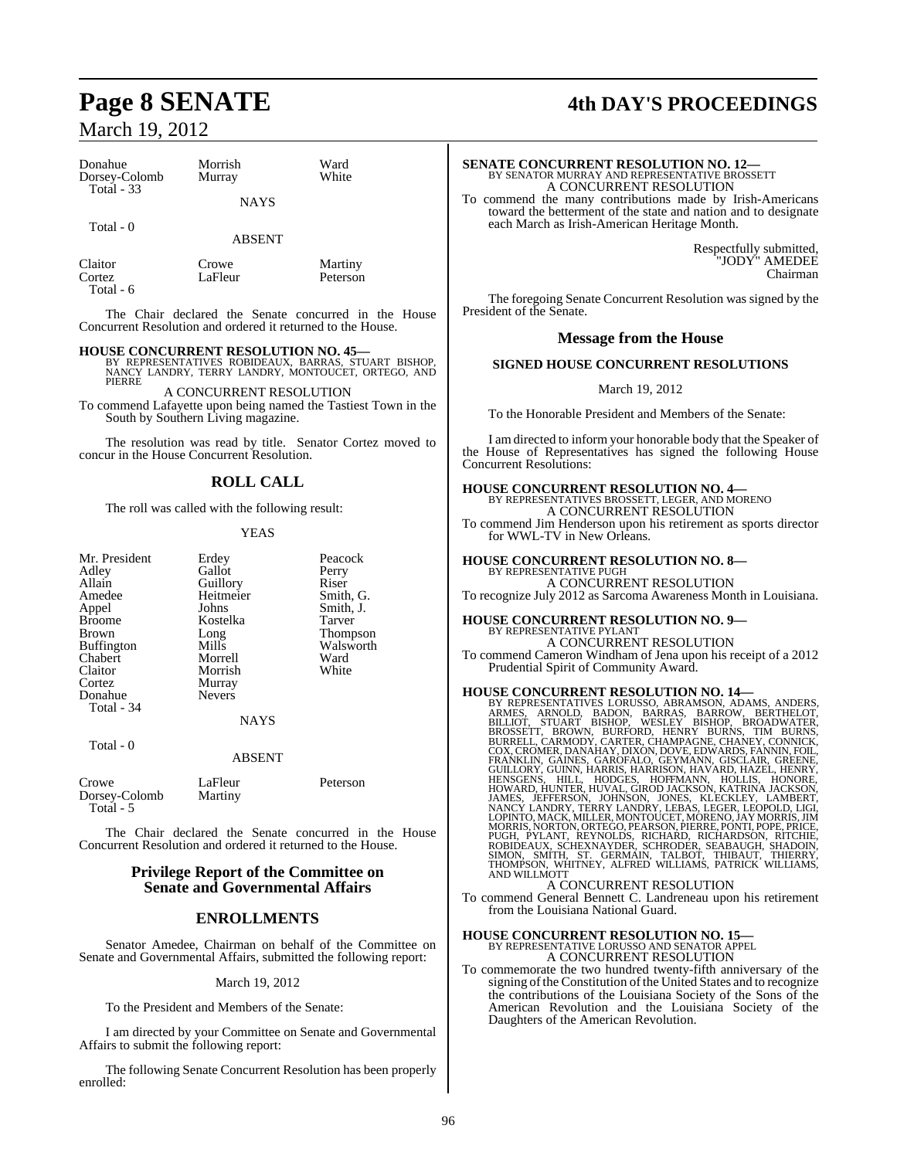| Donahue<br>Dorsey-Colomb<br>Total $-33$ | Morrish<br>Murray | Ward<br>White |  |
|-----------------------------------------|-------------------|---------------|--|
|                                         | <b>NAYS</b>       |               |  |
| Total - 0                               | ABSENT            |               |  |

| Claitor   | Crow |
|-----------|------|
| Cortez    | LaFk |
| Total - 6 |      |

ve Martiny<br>eur Petersor Peterson

The Chair declared the Senate concurred in the House Concurrent Resolution and ordered it returned to the House.

**HOUSE CONCURRENT RESOLUTION NO. 45—** BY REPRESENTATIVES ROBIDEAUX, BARRAS, STUART BISHOP, NANCY LANDRY, TERRY LANDRY, MONTOUCET, ORTEGO, AND PIERRE

A CONCURRENT RESOLUTION To commend Lafayette upon being named the Tastiest Town in the South by Southern Living magazine.

The resolution was read by title. Senator Cortez moved to concur in the House Concurrent Resolution.

#### **ROLL CALL**

The roll was called with the following result:

#### **YEAS**

| Mr. President | Erdey         | Peaco  |
|---------------|---------------|--------|
| Adley         | Gallot        | Perry  |
| Allain        | Guillory      | Riser  |
| Amedee        | Heitmeier     | Smith  |
| Appel         | Johns         | Smith  |
| Broome        | Kostelka      | Tarve: |
| Brown         | Long          | Thom   |
| Buffington    | Mills         | Walsy  |
| Chabert       | Morrell       | Ward   |
| Claitor       | Morrish       | White  |
| Cortez        | Murray        |        |
| Donahue       | <b>Nevers</b> |        |
| Total - 34    |               |        |
|               |               |        |

Peacock<br>Perry ier Smith, G. Smith, J.<br>Tarver Tarver Thompson Walsworth<br>Ward

#### **NAYS**

Total - 0

#### ABSENT

| Crowe         | LaFleur | Peterson |
|---------------|---------|----------|
| Dorsey-Colomb | Martiny |          |
| Total - 5     |         |          |

The Chair declared the Senate concurred in the House Concurrent Resolution and ordered it returned to the House.

#### **Privilege Report of the Committee on Senate and Governmental Affairs**

#### **ENROLLMENTS**

Senator Amedee, Chairman on behalf of the Committee on Senate and Governmental Affairs, submitted the following report:

March 19, 2012

To the President and Members of the Senate:

I am directed by your Committee on Senate and Governmental Affairs to submit the following report:

The following Senate Concurrent Resolution has been properly enrolled:

## **Page 8 SENATE 4th DAY'S PROCEEDINGS**

| <b>SENATE CONCURRENT RESOLUTION NO. 12-</b>                         |
|---------------------------------------------------------------------|
| BY SENATOR MURRAY AND REPRESENTATIVE BROSSETT                       |
| A CONCURRENT RESOLUTION                                             |
| To commend the many contributions made by Irish-Americans           |
| to control that happened with the state and matten and to declarate |

toward the betterment of the state and nation and to designate each March as Irish-American Heritage Month.

> Respectfully submitted, "JODY" AMEDEE Chairman

The foregoing Senate Concurrent Resolution was signed by the President of the Senate.

#### **Message from the House**

#### **SIGNED HOUSE CONCURRENT RESOLUTIONS**

#### March 19, 2012

To the Honorable President and Members of the Senate:

I am directed to inform your honorable body that the Speaker of the House of Representatives has signed the following House Concurrent Resolutions:

#### **HOUSE CONCURRENT RESOLUTION NO. 4—**

BY REPRESENTATIVES BROSSETT, LEGER, AND MORENO A CONCURRENT RESOLUTION

To commend Jim Henderson upon his retirement as sports director for WWL-TV in New Orleans.

## **HOUSE CONCURRENT RESOLUTION NO. 8—** BY REPRESENTATIVE PUGH

A CONCURRENT RESOLUTION To recognize July 2012 as Sarcoma Awareness Month in Louisiana.

## **HOUSE CONCURRENT RESOLUTION NO. 9—** BY REPRESENTATIVE PYLANT

A CONCURRENT RESOLUTION To commend Cameron Windham of Jena upon his receipt of a 2012 Prudential Spirit of Community Award.

HOUSE CONCURRENT RESOLUTION NO. 14—<br>
BY REPRESENTATIVES LORUSSO, ABRAMSON, ADAMS, ANDERS,<br>
ARMES, ARNOLD, BADON, BARRAS, BARROW, BERTHELOT,<br>
BILLIOT, STUART BISHOP, WESLEY BISHOP, BROADWATER,<br>
BROSSETT, BROWN, BURFORD, HEN MORRIS, NORTON, ORTEGO, PEARSON, PIERRE, PONTI, POPE, PRICE,<br>PUGH, PYLANT, REYNOLDS, RICHARD, RICHARDSON, RITCHIE,<br>ROBIDEAUX, SCHEXNAYDER, SCHRODER, SEABAUGH, SHADOIN,<br>SIMON, SMITH, ST. GERMAIN, TALBOT, THIBAUT, THIERRY,<br>T AND WILLMOTT

## A CONCURRENT RESOLUTION

To commend General Bennett C. Landreneau upon his retirement from the Louisiana National Guard.

#### **HOUSE CONCURRENT RESOLUTION NO. 15—** BY REPRESENTATIVE LORUSSO AND SENATOR APPEL A CONCURRENT RESOLUTION

To commemorate the two hundred twenty-fifth anniversary of the signing of the Constitution of the United States and to recognize the contributions of the Louisiana Society of the Sons of the American Revolution and the Louisiana Society of the Daughters of the American Revolution.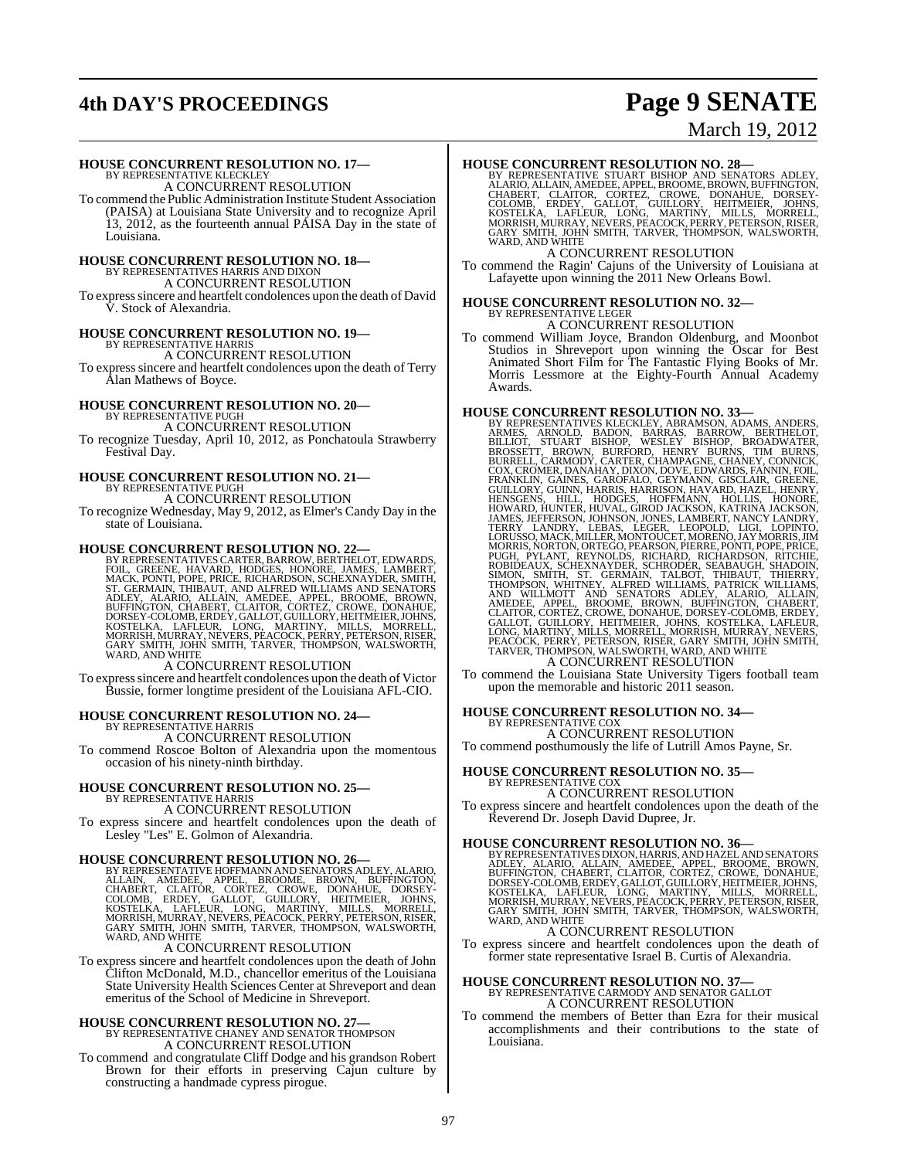## **4th DAY'S PROCEEDINGS Page 9 SENATE**

# March 19, 2012

#### **HOUSE CONCURRENT RESOLUTION NO. 17—**

BY REPRESENTATIVE KLECKLEY A CONCURRENT RESOLUTION

To commend the Public Administration Institute Student Association (PAISA) at Louisiana State University and to recognize April 13, 2012, as the fourteenth annual PAISA Day in the state of Louisiana.

# **HOUSE CONCURRENT RESOLUTION NO. 18—** BY REPRESENTATIVES HARRIS AND DIXON A CONCURRENT RESOLUTION

To expresssincere and heartfelt condolences upon the death of David V. Stock of Alexandria.

#### **HOUSE CONCURRENT RESOLUTION NO. 19—** BY REPRESENTATIVE HARRI

A CONCURRENT RESOLUTION

To expresssincere and heartfelt condolences upon the death of Terry Alan Mathews of Boyce.

# **HOUSE CONCURRENT RESOLUTION NO. 20—** BY REPRESENTATIVE PUGH

A CONCURRENT RESOLUTION

To recognize Tuesday, April 10, 2012, as Ponchatoula Strawberry Festival Day.

## **HOUSE CONCURRENT RESOLUTION NO. 21—** BY REPRESENTATIVE PUGH

A CONCURRENT RESOLUTION

To recognize Wednesday, May 9, 2012, as Elmer's Candy Day in the state of Louisiana.

HOUSE CONCURRENT RESOLUTION NO. 22—<br>BY REPRESENTATIVES CARTER, BARROW, BERTHELOT, EDWARDS, FOIL, GREENE, HAVARD, HODGES, HONORE, JAMES, LAMBERT,<br>MACK, PONTI, POPE, PRICE, RICHARDSON, SCHEXNAYDER, SMITH,<br>ST. GERMAIN, THIBAU

#### A CONCURRENT RESOLUTION

To expresssincere and heartfelt condolences upon the death of Victor Bussie, former longtime president of the Louisiana AFL-CIO.

## **HOUSE CONCURRENT RESOLUTION NO. 24—** BY REPRESENTATIVE HARRIS

A CONCURRENT RESOLUTION

To commend Roscoe Bolton of Alexandria upon the momentous occasion of his ninety-ninth birthday.

#### **HOUSE CONCURRENT RESOLUTION NO. 25—**

BY REPRESENTATIVE HARRIS A CONCURRENT RESOLUTION

To express sincere and heartfelt condolences upon the death of Lesley "Les" E. Golmon of Alexandria.

#### **HOUSE CONCURRENT RESOLUTION NO. 26—**

BY REPRESENTATIVE HOFFMANN AND SENATORS ADLEY, ALARIO,<br>ALLAIN, AMEDEE, APPEL, BROOME, BROOMN, BUFFINGTON,<br>CHABERT, CLAITOR, CORTEZ, CROWE, DONAHUE, DORSEY-<br>COLOMB, ERDEY, GALLOT, GUILLORY, HEITMEIER, JOHNS,<br>KOSTELKA, LAFLE

#### A CONCURRENT RESOLUTION

To express sincere and heartfelt condolences upon the death of John Clifton McDonald, M.D., chancellor emeritus of the Louisiana State University Health Sciences Center at Shreveport and dean emeritus of the School of Medicine in Shreveport.

## **HOUSE CONCURRENT RESOLUTION NO. 27—** BY REPRESENTATIVE CHANEY AND SENATOR THOMPSON

A CONCURRENT RESOLUTION

To commend and congratulate Cliff Dodge and his grandson Robert Brown for their efforts in preserving Cajun culture by constructing a handmade cypress pirogue.

HOUSE CONCURRENT RESOLUTION NO. 28—BY REPERESENTATIVE STUART BISHOP AND SENATORS ADLEY, ALARIO, ALLAIN, AMEDEE, APPEL, BROOME, BROWN, BUFFINGTON, CHABERT, CLAITOR, CORTEZ, CROWE, DONAHUE, DORSEY-COLOMB, ERDEY, GALLOT, GUIL

A CONCURRENT RESOLUTION

To commend the Ragin' Cajuns of the University of Louisiana at Lafayette upon winning the 2011 New Orleans Bowl.

# **HOUSE CONCURRENT RESOLUTION NO. 32—** BY REPRESENTATIVE LEGER

A CONCURRENT RESOLUTION

To commend William Joyce, Brandon Oldenburg, and Moonbot Studios in Shreveport upon winning the Oscar for Best Animated Short Film for The Fantastic Flying Books of Mr. Morris Lessmore at the Eighty-Fourth Annual Academy Awards.

**HOUSE CONCURRENT RESOLUTION NO. 33—**<br>BY REPRESENTATIVES KLECKLEY, ABRAMSON, ADAMS, ANDERS, ARNOLD, BANRAS, SAROLD, BILLIOT, SILLIOT, STUART BISHOP, WESLEY BISHOP, BROADWATER,<br>BILLIOT, STUART BISHOP, WESLEY BISHOP, BROADWA GUILLORY, GUINN, HARRIS, HARRISON, HAVARD, HAZEL, HENRY, HENISGENS, HIILL, HODGES, HOPFMANN, HOLLIS, HONGER, HOPENANN, HOLLIS, HONGER, INDIVIRANIS, JERRAY LANDER, LAMBERT, NANCY LANDRY, TERRY LANDRY, LEBAS, LEGER, LEOPOLD,

A CONCURRENT RESOLUTION<br>To commend the Louisiana State University Tigers football team upon the memorable and historic 2011 season.

## **HOUSE CONCURRENT RESOLUTION NO. 34—** BY REPRESENTATIVE COX

A CONCURRENT RESOLUTION

To commend posthumously the life of Lutrill Amos Payne, Sr.

## **HOUSE CONCURRENT RESOLUTION NO. 35—**

#### BY REPRESENTATIVE COX A CONCURRENT RESOLUTION

To express sincere and heartfelt condolences upon the death of the Reverend Dr. Joseph David Dupree, Jr.

HOUSE CONCURRENT RESOLUTION NO. 36—<br>BY REPRESENTATIVES DIXON, HARRIS, AND HAZEL AND SENATORS<br>ADLEY, ALARIO, ALLAIN, AMEDEE, APPEL, BROOME, BROWN,<br>BUFFINGTON, CHABERT, CLAITOR, CORTEZ, CROWE, DONAHUE,<br>DORSEY-COLOMB, ERDEY,

#### A CONCURRENT RESOLUTION

To express sincere and heartfelt condolences upon the death of former state representative Israel B. Curtis of Alexandria.

### **HOUSE CONCURRENT RESOLUTION NO. 37—** BY REPRESENTATIVE CARMODY AND SENATOR GALLOT A CONCURRENT RESOLUTION

To commend the members of Better than Ezra for their musical accomplishments and their contributions to the state of Louisiana.